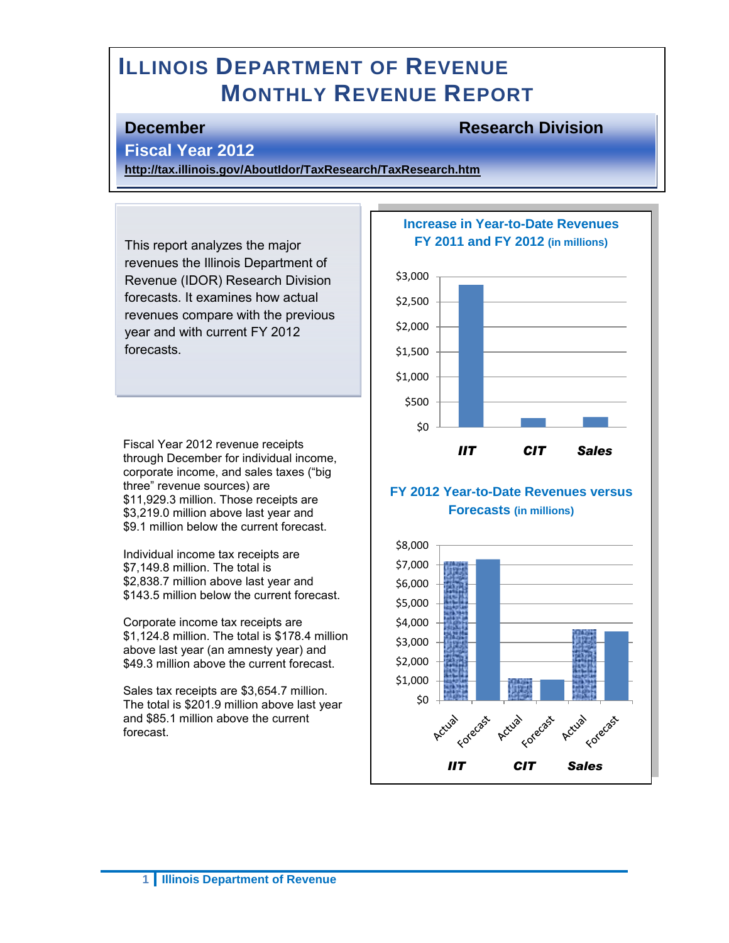# **ILLINOIS DEPARTMENT OF REVENUE MONTHLY REVENUE REPORT**

## **December Research Division**

## **Fiscal Year 2012**

**<http://tax.illinois.gov/AboutIdor/TaxResearch/TaxResearch.htm>**

This report analyzes the major revenues the Illinois Department of Revenue (IDOR) Research Division forecasts. It examines how actual revenues compare with the previous year and with current FY 2012 forecasts.

Fiscal Year 2012 revenue receipts through December for individual income, corporate income, and sales taxes ("big three" revenue sources) are \$11,929.3 million. Those receipts are \$3,219.0 million above last year and \$9.1 million below the current forecast.

Individual income tax receipts are \$7,149.8 million. The total is \$2,838.7 million above last year and \$143.5 million below the current forecast.

Corporate income tax receipts are \$1,124.8 million. The total is \$178.4 million above last year (an amnesty year) and \$49.3 million above the current forecast.

Sales tax receipts are \$3,654.7 million. The total is \$201.9 million above last year and \$85.1 million above the current forecast.

### **Increase in Year-to-Date Revenues FY 2011 and FY 2012 (in millions)**



## **FY 2012 Year-to-Date Revenues versus Forecasts (in millions)**

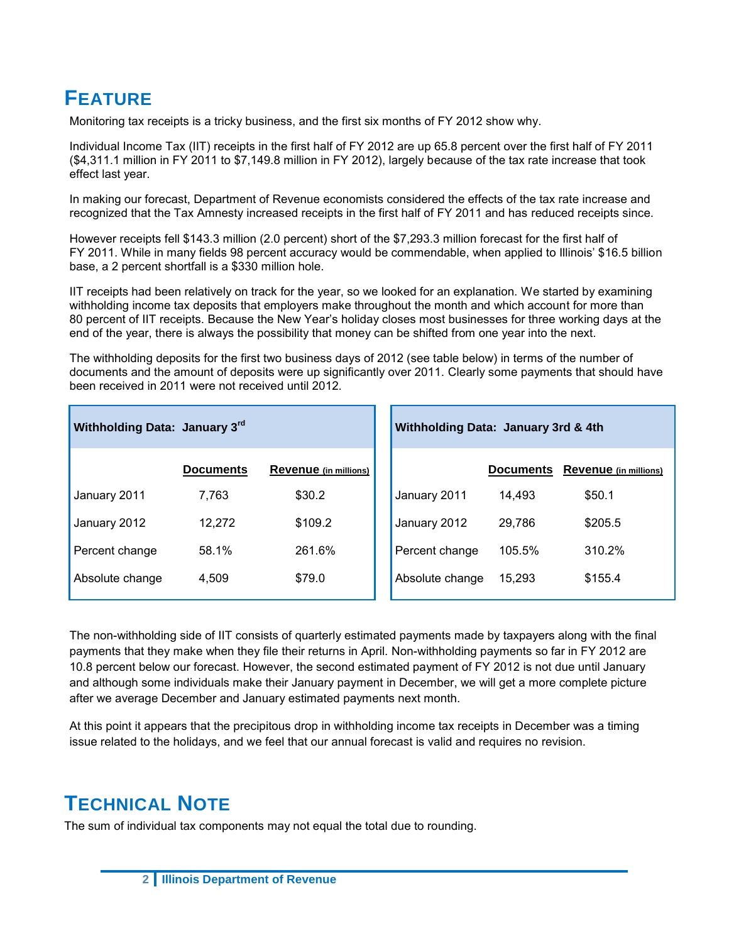# **FEATURE**

Monitoring tax receipts is a tricky business, and the first six months of FY 2012 show why.

Individual Income Tax (IIT) receipts in the first half of FY 2012 are up 65.8 percent over the first half of FY 2011 (\$4,311.1 million in FY 2011 to \$7,149.8 million in FY 2012), largely because of the tax rate increase that took effect last year.

In making our forecast, Department of Revenue economists considered the effects of the tax rate increase and recognized that the Tax Amnesty increased receipts in the first half of FY 2011 and has reduced receipts since.

However receipts fell \$143.3 million (2.0 percent) short of the \$7,293.3 million forecast for the first half of FY 2011. While in many fields 98 percent accuracy would be commendable, when applied to Illinois' \$16.5 billion base, a 2 percent shortfall is a \$330 million hole.

IIT receipts had been relatively on track for the year, so we looked for an explanation. We started by examining withholding income tax deposits that employers make throughout the month and which account for more than 80 percent of IIT receipts. Because the New Year's holiday closes most businesses for three working days at the end of the year, there is always the possibility that money can be shifted from one year into the next.

The withholding deposits for the first two business days of 2012 (see table below) in terms of the number of documents and the amount of deposits were up significantly over 2011. Clearly some payments that should have been received in 2011 were not received until 2012.

| Withholding Data: January 3rd |                  |                       | Withholding Data: January 3rd & 4th |                  |                       |
|-------------------------------|------------------|-----------------------|-------------------------------------|------------------|-----------------------|
|                               | <b>Documents</b> | Revenue (in millions) |                                     | <b>Documents</b> | Revenue (in millions) |
| January 2011                  | 7,763            | \$30.2                | January 2011                        | 14.493           | \$50.1                |
| January 2012                  | 12.272           | \$109.2               | January 2012                        | 29.786           | \$205.5               |
| Percent change                | 58.1%            | 261.6%                | Percent change                      | 105.5%           | 310.2%                |
| Absolute change               | 4.509            | \$79.0                | Absolute change                     | 15.293           | \$155.4               |

The non-withholding side of IIT consists of quarterly estimated payments made by taxpayers along with the final payments that they make when they file their returns in April. Non-withholding payments so far in FY 2012 are 10.8 percent below our forecast. However, the second estimated payment of FY 2012 is not due until January and although some individuals make their January payment in December, we will get a more complete picture after we average December and January estimated payments next month.

At this point it appears that the precipitous drop in withholding income tax receipts in December was a timing issue related to the holidays, and we feel that our annual forecast is valid and requires no revision.

# **TECHNICAL NOTE**

The sum of individual tax components may not equal the total due to rounding.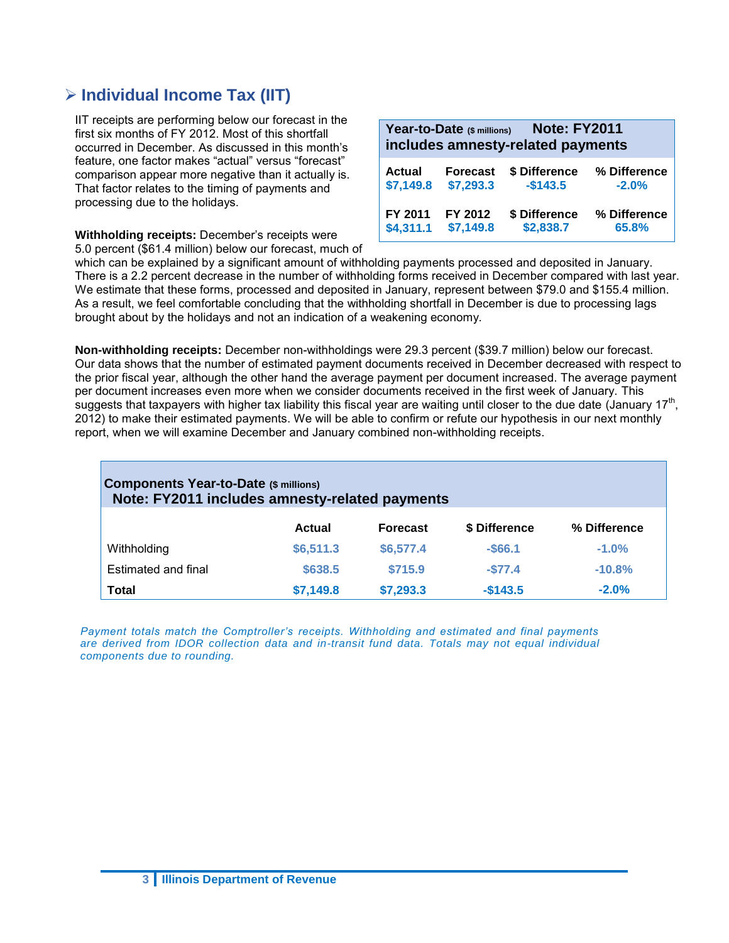# **Individual Income Tax (IIT)**

IIT receipts are performing below our forecast in the first six months of FY 2012. Most of this shortfall occurred in December. As discussed in this month's feature, one factor makes "actual" versus "forecast" comparison appear more negative than it actually is. That factor relates to the timing of payments and processing due to the holidays.

**Withholding receipts:** December's receipts were 5.0 percent (\$61.4 million) below our forecast, much of

| <b>Note: FY2011</b><br>Year-to-Date (\$ millions)<br>includes amnesty-related payments |                 |               |              |  |
|----------------------------------------------------------------------------------------|-----------------|---------------|--------------|--|
| <b>Actual</b>                                                                          | <b>Forecast</b> | \$ Difference | % Difference |  |
| \$7,149.8                                                                              | \$7,293.3       | $-$143.5$     | $-2.0%$      |  |
| FY 2011                                                                                | FY 2012         | \$ Difference | % Difference |  |
| \$4,311.1                                                                              | \$7,149.8       | \$2,838.7     | 65.8%        |  |

which can be explained by a significant amount of withholding payments processed and deposited in January. There is a 2.2 percent decrease in the number of withholding forms received in December compared with last year. We estimate that these forms, processed and deposited in January, represent between \$79.0 and \$155.4 million. As a result, we feel comfortable concluding that the withholding shortfall in December is due to processing lags brought about by the holidays and not an indication of a weakening economy.

**Non-withholding receipts:** December non-withholdings were 29.3 percent (\$39.7 million) below our forecast. Our data shows that the number of estimated payment documents received in December decreased with respect to the prior fiscal year, although the other hand the average payment per document increased. The average payment per document increases even more when we consider documents received in the first week of January. This .<br>suggests that taxpayers with higher tax liability this fiscal year are waiting until closer to the due date (January 17<sup>th</sup>, 2012) to make their estimated payments. We will be able to confirm or refute our hypothesis in our next monthly report, when we will examine December and January combined non-withholding receipts.

| <b>Components Year-to-Date (\$ millions)</b><br>Note: FY2011 includes amnesty-related payments |           |                 |               |              |  |  |
|------------------------------------------------------------------------------------------------|-----------|-----------------|---------------|--------------|--|--|
|                                                                                                | Actual    | <b>Forecast</b> | \$ Difference | % Difference |  |  |
| Withholding                                                                                    | \$6,511.3 | \$6,577.4       | $-$ \$66.1    | $-1.0%$      |  |  |
| Estimated and final                                                                            | \$638.5   | \$715.9         | $-577.4$      | $-10.8%$     |  |  |
| <b>Total</b>                                                                                   | \$7,149.8 | \$7,293.3       | $-$143.5$     | $-2.0%$      |  |  |

*Payment totals match the Comptroller's receipts. Withholding and estimated and final payments are derived from IDOR collection data and in-transit fund data. Totals may not equal individual components due to rounding.*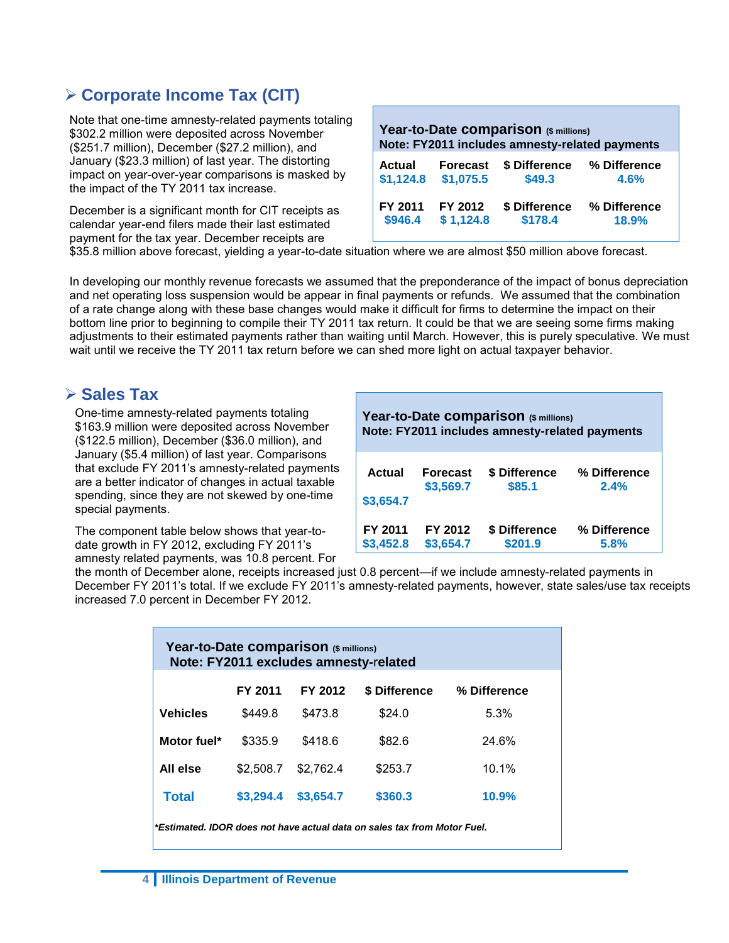# **Corporate Income Tax (CIT)**

Note that one-time amnesty-related payments totaling \$302.2 million were deposited across November (\$251.7 million), December (\$27.2 million), and January (\$23.3 million) of last year. The distorting impact on year-over-year comparisons is masked by the impact of the TY 2011 tax increase.

December is a significant month for CIT receipts as calendar year-end filers made their last estimated payment for the tax year. December receipts are

| Year-to-Date comparison (\$ millions)<br>Note: FY2011 includes amnesty-related payments |                 |               |              |  |  |
|-----------------------------------------------------------------------------------------|-----------------|---------------|--------------|--|--|
| <b>Actual</b>                                                                           | <b>Forecast</b> | \$ Difference | % Difference |  |  |
| \$1,124.8                                                                               | \$1,075.5       | \$49.3        | 4.6%         |  |  |
| FY 2011                                                                                 | FY 2012         | \$ Difference | % Difference |  |  |
| \$946.4                                                                                 | \$1,124.8       | \$178.4       | 18.9%        |  |  |

\$35.8 million above forecast, yielding a year-to-date situation where we are almost \$50 million above forecast.

In developing our monthly revenue forecasts we assumed that the preponderance of the impact of bonus depreciation and net operating loss suspension would be appear in final payments or refunds. We assumed that the combination of a rate change along with these base changes would make it difficult for firms to determine the impact on their bottom line prior to beginning to compile their TY 2011 tax return. It could be that we are seeing some firms making adjustments to their estimated payments rather than waiting until March. However, this is purely speculative. We must wait until we receive the TY 2011 tax return before we can shed more light on actual taxpayer behavior.

## **≻ Sales Tax**

One-time amnesty-related payments totaling \$163.9 million were deposited across November (\$122.5 million), December (\$36.0 million), and January (\$5.4 million) of last year. Comparisons that exclude FY 2011's amnesty-related payments are a better indicator of changes in actual taxable spending, since they are not skewed by one-time special payments.

The component table below shows that year-todate growth in FY 2012, excluding FY 2011's amnesty related payments, was 10.8 percent. For **Year-to-Date comparison (\$ millions) Note: FY2011 includes amnesty-related payments**

| Actual    | <b>Forecast</b> | \$ Difference | % Difference |
|-----------|-----------------|---------------|--------------|
| \$3,654.7 | \$3,569.7       | \$85.1        | 2.4%         |
| FY 2011   | FY 2012         | \$ Difference | % Difference |
| \$3,452.8 | \$3,654.7       | \$201.9       | 5.8%         |

the month of December alone, receipts increased just 0.8 percent—if we include amnesty-related payments in December FY 2011's total. If we exclude FY 2011's amnesty-related payments, however, state sales/use tax receipts increased 7.0 percent in December FY 2012.

| Year-to-Date comparison (\$ millions)<br>Note: FY2011 excludes amnesty-related |                                                     |           |         |       |  |  |  |
|--------------------------------------------------------------------------------|-----------------------------------------------------|-----------|---------|-------|--|--|--|
|                                                                                | FY 2011<br>FY 2012<br>\$ Difference<br>% Difference |           |         |       |  |  |  |
| <b>Vehicles</b>                                                                | \$449.8                                             | \$473.8   | \$24.0  | 5.3%  |  |  |  |
| Motor fuel*                                                                    | \$335.9                                             | \$418.6   | \$82.6  | 24.6% |  |  |  |
| All else                                                                       | \$2,508.7                                           | \$2.762.4 | \$253.7 | 10.1% |  |  |  |
| \$360.3<br>\$3,654.7<br>10.9%<br>\$3,294.4<br><b>Total</b>                     |                                                     |           |         |       |  |  |  |
| *Estimated, IDOR does not have actual data on sales tax from Motor Fuel.       |                                                     |           |         |       |  |  |  |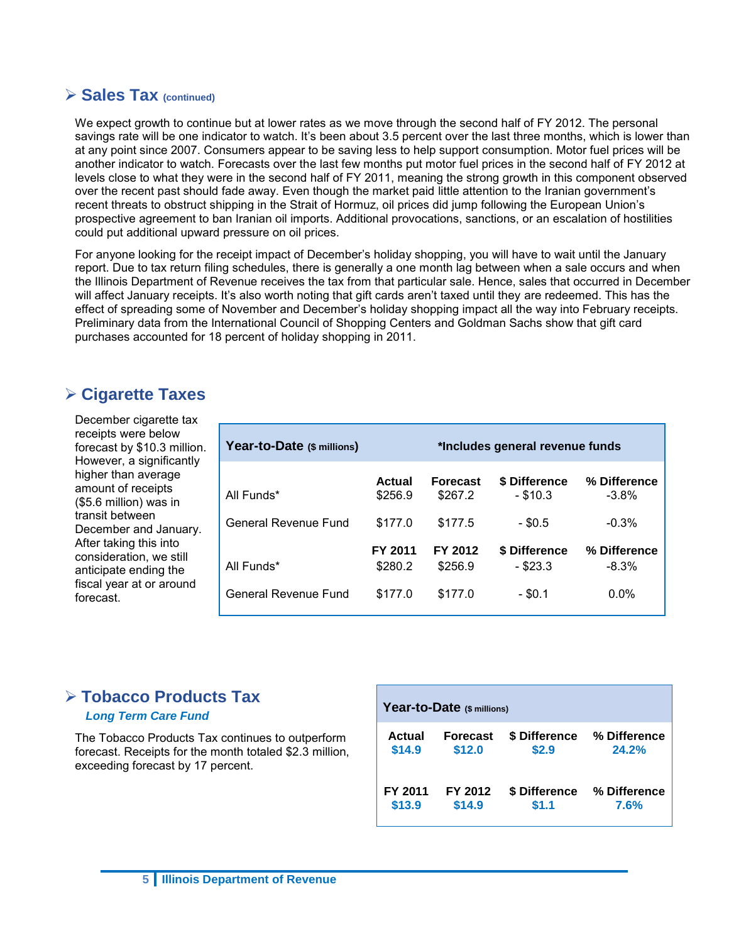## **Sales Tax (continued)**

We expect growth to continue but at lower rates as we move through the second half of FY 2012. The personal savings rate will be one indicator to watch. It's been about 3.5 percent over the last three months, which is lower than at any point since 2007. Consumers appear to be saving less to help support consumption. Motor fuel prices will be another indicator to watch. Forecasts over the last few months put motor fuel prices in the second half of FY 2012 at levels close to what they were in the second half of FY 2011, meaning the strong growth in this component observed over the recent past should fade away. Even though the market paid little attention to the Iranian government's recent threats to obstruct shipping in the Strait of Hormuz, oil prices did jump following the European Union's prospective agreement to ban Iranian oil imports. Additional provocations, sanctions, or an escalation of hostilities could put additional upward pressure on oil prices.

For anyone looking for the receipt impact of December's holiday shopping, you will have to wait until the January report. Due to tax return filing schedules, there is generally a one month lag between when a sale occurs and when the Illinois Department of Revenue receives the tax from that particular sale. Hence, sales that occurred in December will affect January receipts. It's also worth noting that gift cards aren't taxed until they are redeemed. This has the effect of spreading some of November and December's holiday shopping impact all the way into February receipts. Preliminary data from the International Council of Shopping Centers and Goldman Sachs show that gift card purchases accounted for 18 percent of holiday shopping in 2011.

# **Cigarette Taxes**

December cigarette tax receipts were below forecast by \$10.3 million. However, a significantly higher than average amount of receipts (\$5.6 million) was in transit between December and January. After taking this into consideration, we still anticipate ending the fiscal year at or around forecast.

| Year-to-Date (\$ millions) | *Includes general revenue funds |                            |                             |                         |  |
|----------------------------|---------------------------------|----------------------------|-----------------------------|-------------------------|--|
| All Funds*                 | Actual<br>\$256.9               | <b>Forecast</b><br>\$267.2 | \$ Difference<br>$-$ \$10.3 | % Difference<br>$-3.8%$ |  |
| General Revenue Fund       | \$177.0                         | \$177.5                    | $-$ \$0.5                   | $-0.3%$                 |  |
| All Funds*                 | FY 2011<br>\$280.2              | FY 2012<br>\$256.9         | \$ Difference<br>- \$23.3   | % Difference<br>$-8.3%$ |  |
| General Revenue Fund       | \$177.0                         | \$177.0                    | $-$ \$0.1                   | $0.0\%$                 |  |

# **Tobacco Products Tax**

#### *Long Term Care Fund*

The Tobacco Products Tax continues to outperform forecast. Receipts for the month totaled \$2.3 million, exceeding forecast by 17 percent.

| Year-to-Date (\$ millions) |                 |               |              |  |  |
|----------------------------|-----------------|---------------|--------------|--|--|
| Actual                     | <b>Forecast</b> | \$ Difference | % Difference |  |  |
| \$14.9                     | \$12.0          | \$2.9         | 24.2%        |  |  |
| FY 2011                    | FY 2012         | \$ Difference | % Difference |  |  |
| \$13.9                     | \$14.9          | \$1.1         | 7.6%         |  |  |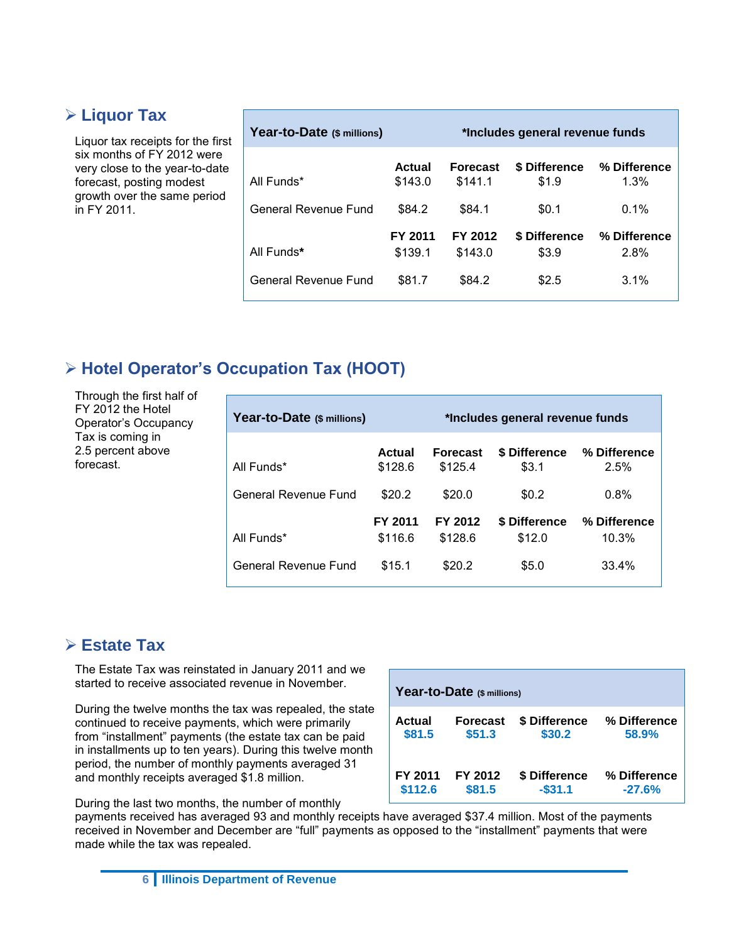# **Liquor Tax**

Liquor tax receipts for the first six months of FY 2012 were very close to the year-to-date forecast, posting modest growth over the same period in FY 2011.

| Year-to-Date (\$ millions) |                    | *Includes general revenue funds |                        |                      |  |  |
|----------------------------|--------------------|---------------------------------|------------------------|----------------------|--|--|
| All Funds*                 | Actual<br>\$143.0  | <b>Forecast</b><br>\$141.1      | \$ Difference<br>\$1.9 | % Difference<br>1.3% |  |  |
| General Revenue Fund       | \$84.2             | \$84.1                          | \$0.1                  | $0.1\%$              |  |  |
| All Funds*                 | FY 2011<br>\$139.1 | FY 2012<br>\$143.0              | \$ Difference<br>\$3.9 | % Difference<br>2.8% |  |  |
| General Revenue Fund       | \$81.7             | \$84.2                          | \$2.5                  | $3.1\%$              |  |  |

# **Hotel Operator's Occupation Tax (HOOT)**

Through the first half of FY 2012 the Hotel Operator's Occupancy Tax is coming in 2.5 percent above forecast.

| Year-to-Date (\$ millions) | *Includes general revenue funds |                            |                         |                       |  |
|----------------------------|---------------------------------|----------------------------|-------------------------|-----------------------|--|
| All Funds*                 | Actual<br>\$128.6               | <b>Forecast</b><br>\$125.4 | \$ Difference<br>\$3.1  | % Difference<br>2.5%  |  |
| General Revenue Fund       | \$20.2                          | \$20.0                     | \$0.2                   | 0.8%                  |  |
| All Funds*                 | FY 2011<br>\$116.6              | FY 2012<br>\$128.6         | \$ Difference<br>\$12.0 | % Difference<br>10.3% |  |
| General Revenue Fund       | \$15.1                          | \$20.2                     | \$5.0                   | 33.4%                 |  |

# **Estate Tax**

The Estate Tax was reinstated in January 2011 and we started to receive associated revenue in November.

During the twelve months the tax was repealed, the state continued to receive payments, which were primarily from "installment" payments (the estate tax can be paid in installments up to ten years). During this twelve month period, the number of monthly payments averaged 31 and monthly receipts averaged \$1.8 million.

During the last two months, the number of monthly

**Year-to-Date (\$ millions) Actual Forecast \$ Difference % Difference \$81.5 \$51.3 \$30.2 58.9% FY 2011 FY 2012 \$ Difference % Difference \$112.6 \$81.5 -\$31.1 -27.6%**

payments received has averaged 93 and monthly receipts have averaged \$37.4 million. Most of the payments received in November and December are "full" payments as opposed to the "installment" payments that were made while the tax was repealed.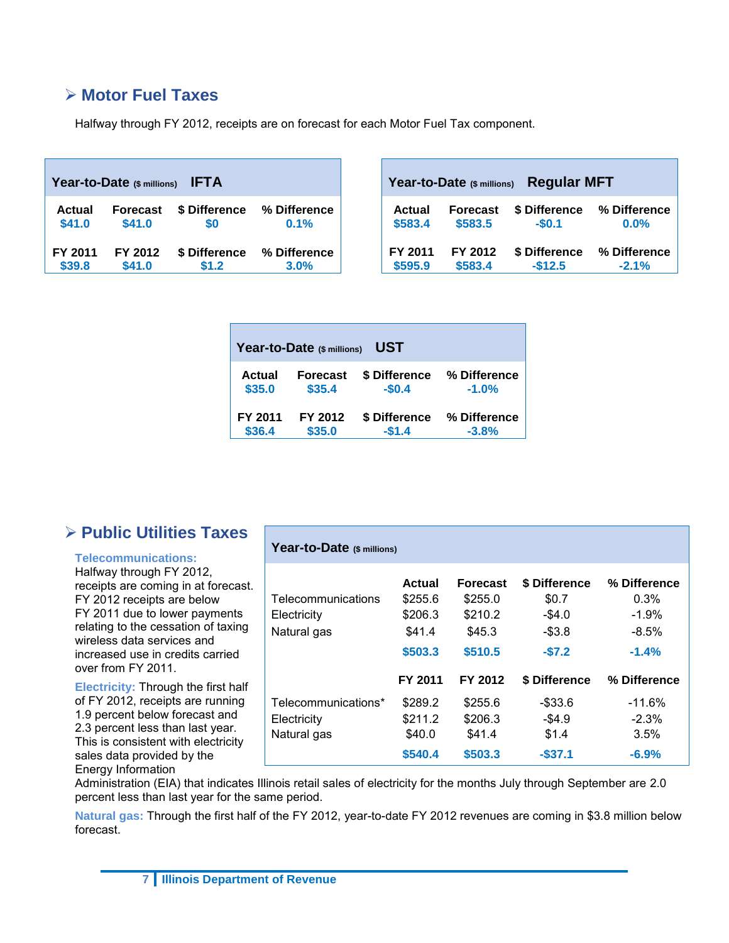# **Motor Fuel Taxes**

Halfway through FY 2012, receipts are on forecast for each Motor Fuel Tax component.

| Year-to-Date (\$ millions)<br><b>IFTA</b> |                 |               |              |  |  |
|-------------------------------------------|-----------------|---------------|--------------|--|--|
| <b>Actual</b>                             | <b>Forecast</b> | \$ Difference | % Difference |  |  |
| \$41.0                                    | \$41.0          | \$0           | 0.1%         |  |  |
| FY 2011                                   | FY 2012         | \$ Difference | % Difference |  |  |
| \$39.8                                    | \$41.0          | \$1.2         | 3.0%         |  |  |

| <b>Regular MFT</b><br>Year-to-Date (\$ millions) |                 |               |              |  |  |
|--------------------------------------------------|-----------------|---------------|--------------|--|--|
| <b>Actual</b>                                    | <b>Forecast</b> | \$ Difference | % Difference |  |  |
| \$583.4                                          | \$583.5         | $-$0.1$       | 0.0%         |  |  |
| FY 2011                                          | FY 2012         | \$ Difference | % Difference |  |  |
| \$595.9                                          | \$583.4         | $-$12.5$      | $-2.1%$      |  |  |

| UST<br>Year-to-Date (\$ millions) |                 |               |              |  |  |  |  |  |  |  |
|-----------------------------------|-----------------|---------------|--------------|--|--|--|--|--|--|--|
| Actual                            | <b>Forecast</b> | \$ Difference | % Difference |  |  |  |  |  |  |  |
| \$35.0                            | \$35.4          | $-$0.4$       | $-1.0%$      |  |  |  |  |  |  |  |
| FY 2011                           | FY 2012         | \$ Difference | % Difference |  |  |  |  |  |  |  |
| \$36.4                            | \$35.0          | $-$1.4$       | $-3.8%$      |  |  |  |  |  |  |  |

# **Public Utilities Taxes**

#### **Telecommunications:**

Halfway through FY 2012, receipts are coming in at forecast. FY 2012 receipts are below FY 2011 due to lower payments relating to the cessation of taxing wireless data services and increased use in credits carried over from FY 2011.

**Electricity:** Through the first half of FY 2012, receipts are running 1.9 percent below forecast and 2.3 percent less than last year. This is consistent with electricity sales data provided by the Energy Information

#### **Year-to-Date (\$ millions)**

| Telecommunications<br>Electricity | Actual<br>\$255.6<br>\$206.3 | <b>Forecast</b><br>\$255.0<br>\$210.2 | \$ Difference<br>\$0.7<br>$-$ \$4.0 | % Difference<br>0.3%<br>$-1.9%$ |
|-----------------------------------|------------------------------|---------------------------------------|-------------------------------------|---------------------------------|
| Natural gas                       | \$41.4                       | \$45.3                                | $-$ \$3.8                           | $-8.5\%$                        |
|                                   | \$503.3                      | \$510.5                               | $-$7.2$                             | $-1.4%$                         |
|                                   | FY 2011                      | FY 2012                               | \$ Difference                       | % Difference                    |
|                                   |                              |                                       |                                     |                                 |
| Telecommunications*               | \$289.2                      | \$255.6                               | -\$33.6                             | $-11.6%$                        |
| Electricity                       | \$211.2                      | \$206.3                               | $-$ \$4.9                           | $-2.3%$                         |
| Natural gas                       | \$40.0                       | \$41.4                                | \$1.4                               | 3.5%                            |

Administration (EIA) that indicates Illinois retail sales of electricity for the months July through September are 2.0 percent less than last year for the same period.

**Natural gas:** Through the first half of the FY 2012, year-to-date FY 2012 revenues are coming in \$3.8 million below forecast.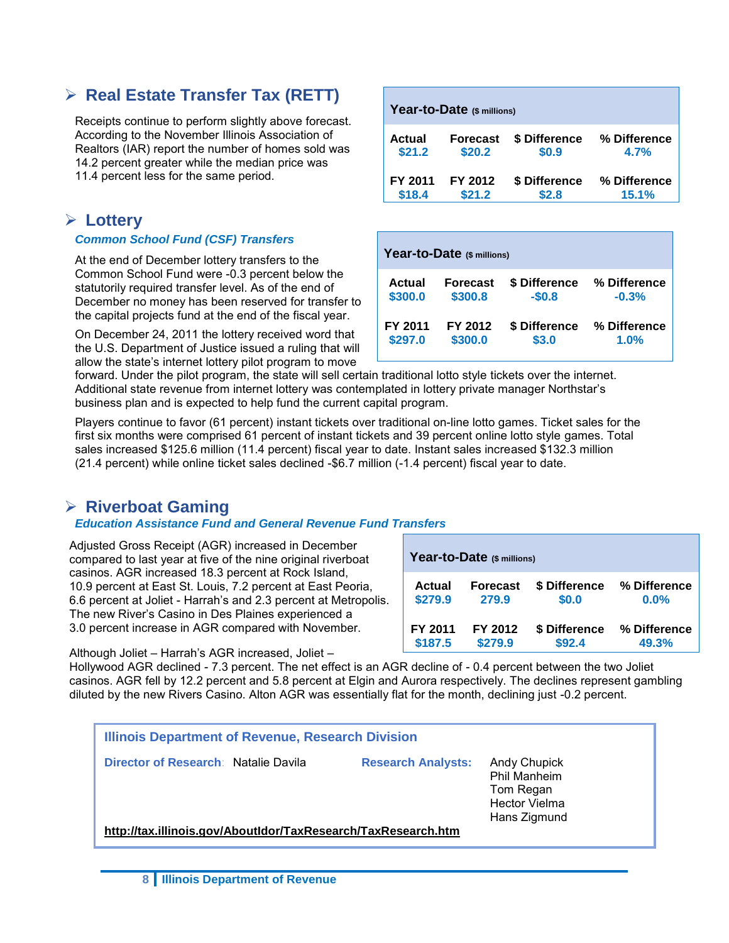# **Real Estate Transfer Tax (RETT)**

Receipts continue to perform slightly above forecast. According to the November Illinois Association of Realtors (IAR) report the number of homes sold was 14.2 percent greater while the median price was 11.4 percent less for the same period.

# **Lottery**

#### *Common School Fund (CSF) Transfers*

At the end of December lottery transfers to the Common School Fund were -0.3 percent below the statutorily required transfer level. As of the end of December no money has been reserved for transfer to the capital projects fund at the end of the fiscal year.

On December 24, 2011 the lottery received word that the U.S. Department of Justice issued a ruling that will allow the state's internet lottery pilot program to move

| Year-to-Date (\$ millions) |                 |               |              |  |  |  |  |  |  |
|----------------------------|-----------------|---------------|--------------|--|--|--|--|--|--|
| Actual                     | <b>Forecast</b> | \$ Difference | % Difference |  |  |  |  |  |  |
| \$21.2                     | \$20.2          | \$0.9         | 4.7%         |  |  |  |  |  |  |
| FY 2011                    | FY 2012         | \$ Difference | % Difference |  |  |  |  |  |  |
| \$18.4                     | \$21.2          | \$2.8         | 15.1%        |  |  |  |  |  |  |

| Year-to-Date (\$ millions) |                 |               |              |  |  |  |  |  |  |  |
|----------------------------|-----------------|---------------|--------------|--|--|--|--|--|--|--|
| Actual                     | <b>Forecast</b> | \$ Difference | % Difference |  |  |  |  |  |  |  |
| \$300.0                    | \$300.8         | $-$0.8$       | $-0.3%$      |  |  |  |  |  |  |  |
| FY 2011                    | FY 2012         | \$ Difference | % Difference |  |  |  |  |  |  |  |
| \$297.0                    | \$300.0         | \$3.0         | 1.0%         |  |  |  |  |  |  |  |

forward. Under the pilot program, the state will sell certain traditional lotto style tickets over the internet. Additional state revenue from internet lottery was contemplated in lottery private manager Northstar's business plan and is expected to help fund the current capital program.

Players continue to favor (61 percent) instant tickets over traditional on-line lotto games. Ticket sales for the first six months were comprised 61 percent of instant tickets and 39 percent online lotto style games. Total sales increased \$125.6 million (11.4 percent) fiscal year to date. Instant sales increased \$132.3 million (21.4 percent) while online ticket sales declined -\$6.7 million (-1.4 percent) fiscal year to date.

# **Riverboat Gaming**

## *Education Assistance Fund and General Revenue Fund Transfers*

Adjusted Gross Receipt (AGR) increased in December compared to last year at five of the nine original riverboat casinos. AGR increased 18.3 percent at Rock Island, 10.9 percent at East St. Louis, 7.2 percent at East Peoria, 6.6 percent at Joliet - Harrah's and 2.3 percent at Metropolis. The new River's Casino in Des Plaines experienced a 3.0 percent increase in AGR compared with November.

| Year-to-Date (\$ millions) |                 |               |              |  |  |  |  |  |  |  |
|----------------------------|-----------------|---------------|--------------|--|--|--|--|--|--|--|
| <b>Actual</b>              | <b>Forecast</b> | \$ Difference | % Difference |  |  |  |  |  |  |  |
| \$279.9                    | 279.9           | \$0.0         | $0.0\%$      |  |  |  |  |  |  |  |
| FY 2011                    | FY 2012         | \$ Difference | % Difference |  |  |  |  |  |  |  |
| \$187.5                    | \$279.9         | \$92.4        | 49.3%        |  |  |  |  |  |  |  |

Although Joliet – Harrah's AGR increased, Joliet –

Hollywood AGR declined - 7.3 percent. The net effect is an AGR decline of - 0.4 percent between the two Joliet casinos. AGR fell by 12.2 percent and 5.8 percent at Elgin and Aurora respectively. The declines represent gambling diluted by the new Rivers Casino. Alton AGR was essentially flat for the month, declining just -0.2 percent.

| Illinois Department of Revenue, Research Division             |                           |                                                                                          |  |  |  |  |  |  |
|---------------------------------------------------------------|---------------------------|------------------------------------------------------------------------------------------|--|--|--|--|--|--|
| Director of Research Natalie Davila                           | <b>Research Analysts:</b> | <b>Andy Chupick</b><br>Phil Manheim<br>Tom Regan<br><b>Hector Vielma</b><br>Hans Zigmund |  |  |  |  |  |  |
| http://tax.illinois.gov/AboutIdor/TaxResearch/TaxResearch.htm |                           |                                                                                          |  |  |  |  |  |  |